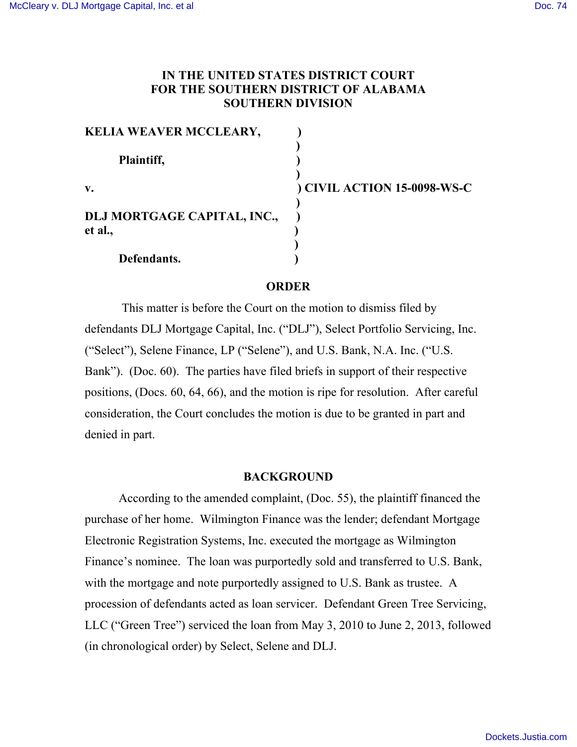# **IN THE UNITED STATES DISTRICT COURT FOR THE SOUTHERN DISTRICT OF ALABAMA SOUTHERN DIVISION**

| <b>KELIA WEAVER MCCLEARY,</b>          |                             |
|----------------------------------------|-----------------------------|
| Plaintiff,                             |                             |
| $\mathbf{v}$ .                         | ) CIVIL ACTION 15-0098-WS-C |
| DLJ MORTGAGE CAPITAL, INC.,<br>et al., |                             |
| Defendants.                            |                             |

# **ORDER**

This matter is before the Court on the motion to dismiss filed by defendants DLJ Mortgage Capital, Inc. ("DLJ"), Select Portfolio Servicing, Inc. ("Select"), Selene Finance, LP ("Selene"), and U.S. Bank, N.A. Inc. ("U.S. Bank"). (Doc. 60). The parties have filed briefs in support of their respective positions, (Docs. 60, 64, 66), and the motion is ripe for resolution. After careful consideration, the Court concludes the motion is due to be granted in part and denied in part.

### **BACKGROUND**

According to the amended complaint, (Doc. 55), the plaintiff financed the purchase of her home. Wilmington Finance was the lender; defendant Mortgage Electronic Registration Systems, Inc. executed the mortgage as Wilmington Finance's nominee. The loan was purportedly sold and transferred to U.S. Bank, with the mortgage and note purportedly assigned to U.S. Bank as trustee. A procession of defendants acted as loan servicer. Defendant Green Tree Servicing, LLC ("Green Tree") serviced the loan from May 3, 2010 to June 2, 2013, followed (in chronological order) by Select, Selene and DLJ.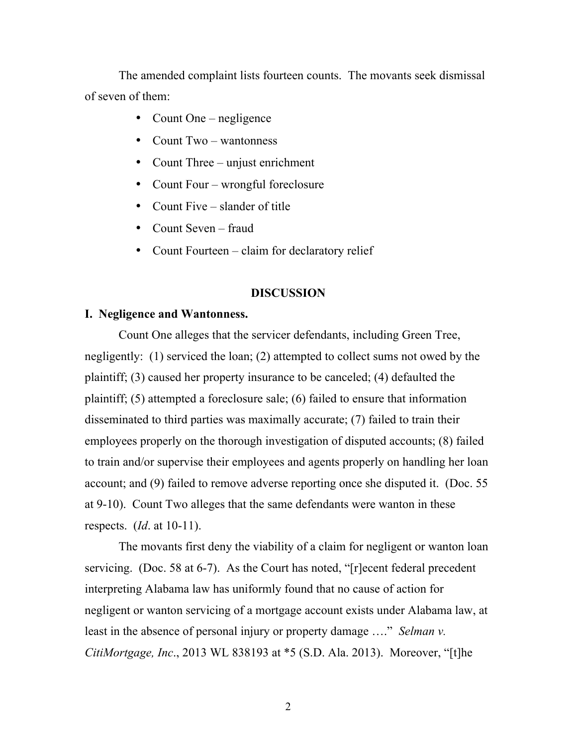The amended complaint lists fourteen counts. The movants seek dismissal of seven of them:

- Count One negligence
- Count Two wantonness
- Count Three unjust enrichment
- Count Four wrongful foreclosure
- Count Five slander of title
- Count Seven fraud
- Count Fourteen claim for declaratory relief

## **DISCUSSION**

#### **I. Negligence and Wantonness.**

Count One alleges that the servicer defendants, including Green Tree, negligently: (1) serviced the loan; (2) attempted to collect sums not owed by the plaintiff; (3) caused her property insurance to be canceled; (4) defaulted the plaintiff; (5) attempted a foreclosure sale; (6) failed to ensure that information disseminated to third parties was maximally accurate; (7) failed to train their employees properly on the thorough investigation of disputed accounts; (8) failed to train and/or supervise their employees and agents properly on handling her loan account; and (9) failed to remove adverse reporting once she disputed it. (Doc. 55 at 9-10). Count Two alleges that the same defendants were wanton in these respects. (*Id*. at 10-11).

The movants first deny the viability of a claim for negligent or wanton loan servicing. (Doc. 58 at 6-7). As the Court has noted, "[r]ecent federal precedent interpreting Alabama law has uniformly found that no cause of action for negligent or wanton servicing of a mortgage account exists under Alabama law, at least in the absence of personal injury or property damage …." *Selman v. CitiMortgage, Inc*., 2013 WL 838193 at \*5 (S.D. Ala. 2013). Moreover, "[t]he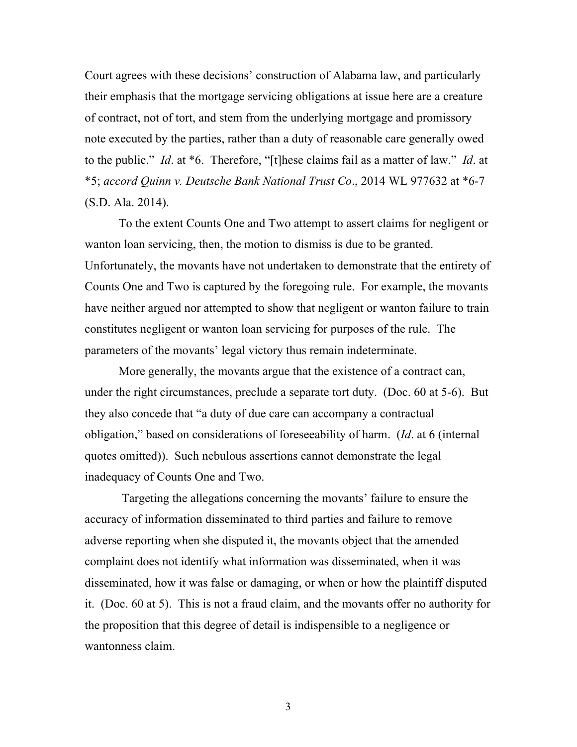Court agrees with these decisions' construction of Alabama law, and particularly their emphasis that the mortgage servicing obligations at issue here are a creature of contract, not of tort, and stem from the underlying mortgage and promissory note executed by the parties, rather than a duty of reasonable care generally owed to the public." *Id*. at \*6. Therefore, "[t]hese claims fail as a matter of law." *Id*. at \*5; *accord Quinn v. Deutsche Bank National Trust Co*., 2014 WL 977632 at \*6-7 (S.D. Ala. 2014).

To the extent Counts One and Two attempt to assert claims for negligent or wanton loan servicing, then, the motion to dismiss is due to be granted. Unfortunately, the movants have not undertaken to demonstrate that the entirety of Counts One and Two is captured by the foregoing rule. For example, the movants have neither argued nor attempted to show that negligent or wanton failure to train constitutes negligent or wanton loan servicing for purposes of the rule. The parameters of the movants' legal victory thus remain indeterminate.

More generally, the movants argue that the existence of a contract can, under the right circumstances, preclude a separate tort duty. (Doc. 60 at 5-6). But they also concede that "a duty of due care can accompany a contractual obligation," based on considerations of foreseeability of harm. (*Id*. at 6 (internal quotes omitted)). Such nebulous assertions cannot demonstrate the legal inadequacy of Counts One and Two.

Targeting the allegations concerning the movants' failure to ensure the accuracy of information disseminated to third parties and failure to remove adverse reporting when she disputed it, the movants object that the amended complaint does not identify what information was disseminated, when it was disseminated, how it was false or damaging, or when or how the plaintiff disputed it. (Doc. 60 at 5). This is not a fraud claim, and the movants offer no authority for the proposition that this degree of detail is indispensible to a negligence or wantonness claim.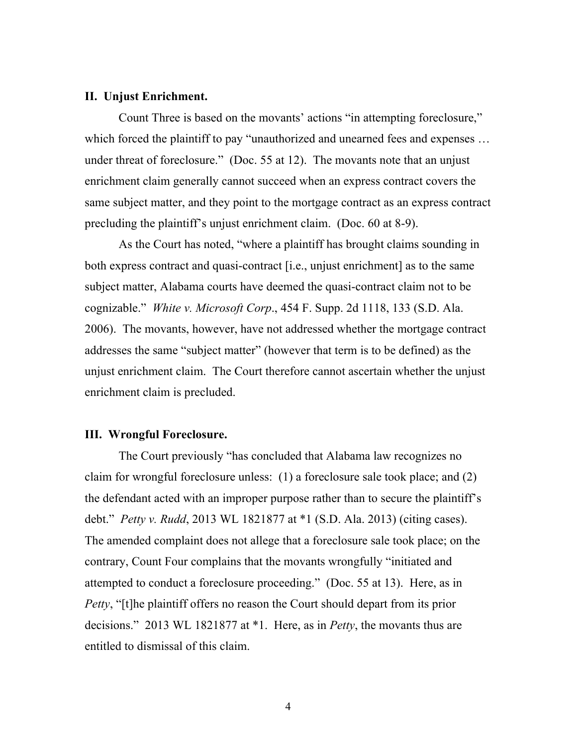#### **II. Unjust Enrichment.**

Count Three is based on the movants' actions "in attempting foreclosure," which forced the plaintiff to pay "unauthorized and unearned fees and expenses ... under threat of foreclosure." (Doc. 55 at 12). The movants note that an unjust enrichment claim generally cannot succeed when an express contract covers the same subject matter, and they point to the mortgage contract as an express contract precluding the plaintiff's unjust enrichment claim. (Doc. 60 at 8-9).

As the Court has noted, "where a plaintiff has brought claims sounding in both express contract and quasi-contract [i.e., unjust enrichment] as to the same subject matter, Alabama courts have deemed the quasi-contract claim not to be cognizable." *White v. Microsoft Corp*., 454 F. Supp. 2d 1118, 133 (S.D. Ala. 2006). The movants, however, have not addressed whether the mortgage contract addresses the same "subject matter" (however that term is to be defined) as the unjust enrichment claim. The Court therefore cannot ascertain whether the unjust enrichment claim is precluded.

#### **III. Wrongful Foreclosure.**

The Court previously "has concluded that Alabama law recognizes no claim for wrongful foreclosure unless: (1) a foreclosure sale took place; and (2) the defendant acted with an improper purpose rather than to secure the plaintiff's debt." *Petty v. Rudd*, 2013 WL 1821877 at \*1 (S.D. Ala. 2013) (citing cases). The amended complaint does not allege that a foreclosure sale took place; on the contrary, Count Four complains that the movants wrongfully "initiated and attempted to conduct a foreclosure proceeding." (Doc. 55 at 13). Here, as in *Petty*, "[t]he plaintiff offers no reason the Court should depart from its prior decisions." 2013 WL 1821877 at \*1. Here, as in *Petty*, the movants thus are entitled to dismissal of this claim.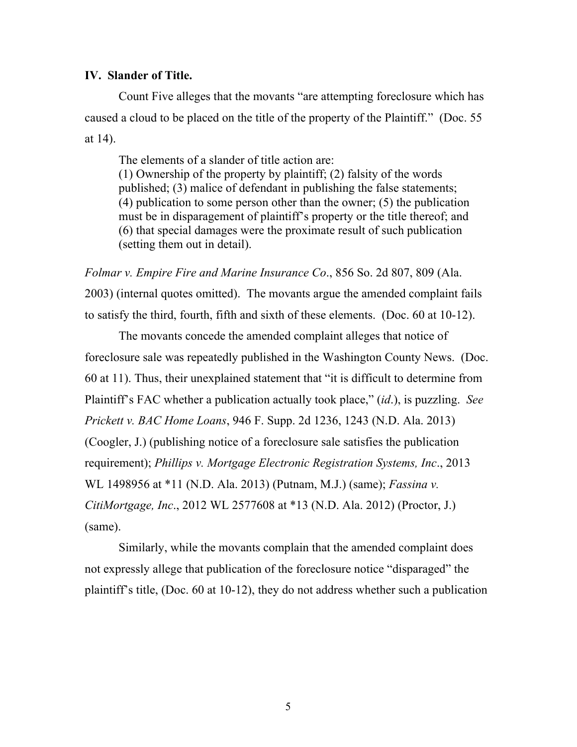## **IV. Slander of Title.**

Count Five alleges that the movants "are attempting foreclosure which has caused a cloud to be placed on the title of the property of the Plaintiff." (Doc. 55 at 14).

The elements of a slander of title action are:

(1) Ownership of the property by plaintiff; (2) falsity of the words published; (3) malice of defendant in publishing the false statements; (4) publication to some person other than the owner; (5) the publication must be in disparagement of plaintiff's property or the title thereof; and (6) that special damages were the proximate result of such publication (setting them out in detail).

*Folmar v. Empire Fire and Marine Insurance Co*., 856 So. 2d 807, 809 (Ala. 2003) (internal quotes omitted). The movants argue the amended complaint fails to satisfy the third, fourth, fifth and sixth of these elements. (Doc. 60 at 10-12).

The movants concede the amended complaint alleges that notice of foreclosure sale was repeatedly published in the Washington County News. (Doc. 60 at 11). Thus, their unexplained statement that "it is difficult to determine from Plaintiff's FAC whether a publication actually took place," (*id*.), is puzzling. *See Prickett v. BAC Home Loans*, 946 F. Supp. 2d 1236, 1243 (N.D. Ala. 2013) (Coogler, J.) (publishing notice of a foreclosure sale satisfies the publication requirement); *Phillips v. Mortgage Electronic Registration Systems, Inc*., 2013 WL 1498956 at \*11 (N.D. Ala. 2013) (Putnam, M.J.) (same); *Fassina v. CitiMortgage, Inc*., 2012 WL 2577608 at \*13 (N.D. Ala. 2012) (Proctor, J.) (same).

Similarly, while the movants complain that the amended complaint does not expressly allege that publication of the foreclosure notice "disparaged" the plaintiff's title, (Doc. 60 at 10-12), they do not address whether such a publication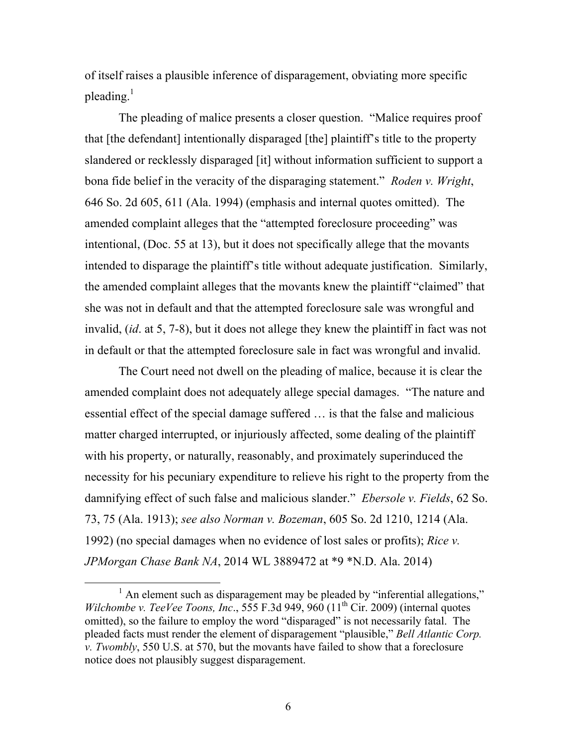of itself raises a plausible inference of disparagement, obviating more specific pleading. $<sup>1</sup>$ </sup>

The pleading of malice presents a closer question. "Malice requires proof that [the defendant] intentionally disparaged [the] plaintiff's title to the property slandered or recklessly disparaged [it] without information sufficient to support a bona fide belief in the veracity of the disparaging statement." *Roden v. Wright*, 646 So. 2d 605, 611 (Ala. 1994) (emphasis and internal quotes omitted). The amended complaint alleges that the "attempted foreclosure proceeding" was intentional, (Doc. 55 at 13), but it does not specifically allege that the movants intended to disparage the plaintiff's title without adequate justification. Similarly, the amended complaint alleges that the movants knew the plaintiff "claimed" that she was not in default and that the attempted foreclosure sale was wrongful and invalid, (*id*. at 5, 7-8), but it does not allege they knew the plaintiff in fact was not in default or that the attempted foreclosure sale in fact was wrongful and invalid.

The Court need not dwell on the pleading of malice, because it is clear the amended complaint does not adequately allege special damages. "The nature and essential effect of the special damage suffered … is that the false and malicious matter charged interrupted, or injuriously affected, some dealing of the plaintiff with his property, or naturally, reasonably, and proximately superinduced the necessity for his pecuniary expenditure to relieve his right to the property from the damnifying effect of such false and malicious slander." *Ebersole v. Fields*, 62 So. 73, 75 (Ala. 1913); *see also Norman v. Bozeman*, 605 So. 2d 1210, 1214 (Ala. 1992) (no special damages when no evidence of lost sales or profits); *Rice v. JPMorgan Chase Bank NA*, 2014 WL 3889472 at \*9 \*N.D. Ala. 2014)

 $<sup>1</sup>$  An element such as disparagement may be pleaded by "inferential allegations,"</sup> *Wilchombe v. TeeVee Toons, Inc.*, 555 F.3d 949, 960 (11<sup>th</sup> Cir. 2009) (internal quotes omitted), so the failure to employ the word "disparaged" is not necessarily fatal. The pleaded facts must render the element of disparagement "plausible," *Bell Atlantic Corp. v. Twombly*, 550 U.S. at 570, but the movants have failed to show that a foreclosure notice does not plausibly suggest disparagement.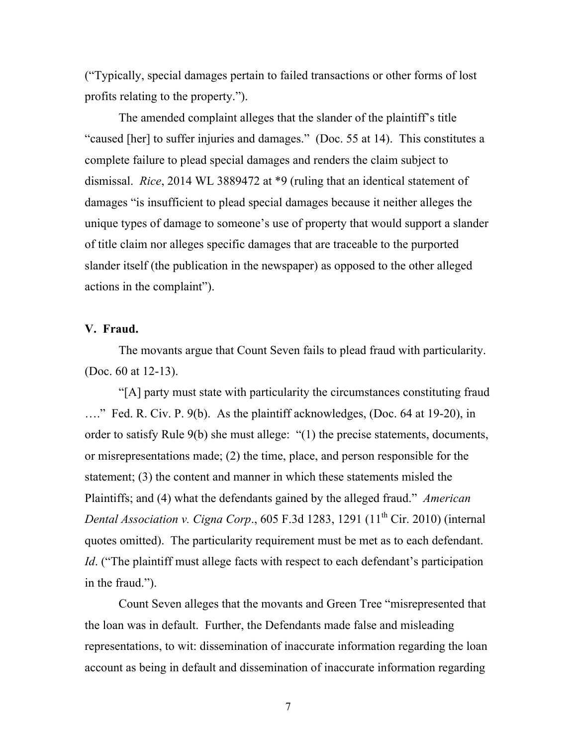("Typically, special damages pertain to failed transactions or other forms of lost profits relating to the property.").

The amended complaint alleges that the slander of the plaintiff's title "caused [her] to suffer injuries and damages." (Doc. 55 at 14). This constitutes a complete failure to plead special damages and renders the claim subject to dismissal. *Rice*, 2014 WL 3889472 at \*9 (ruling that an identical statement of damages "is insufficient to plead special damages because it neither alleges the unique types of damage to someone's use of property that would support a slander of title claim nor alleges specific damages that are traceable to the purported slander itself (the publication in the newspaper) as opposed to the other alleged actions in the complaint").

# **V. Fraud.**

The movants argue that Count Seven fails to plead fraud with particularity. (Doc. 60 at 12-13).

"[A] party must state with particularity the circumstances constituting fraud …." Fed. R. Civ. P. 9(b). As the plaintiff acknowledges, (Doc. 64 at 19-20), in order to satisfy Rule 9(b) she must allege: "(1) the precise statements, documents, or misrepresentations made; (2) the time, place, and person responsible for the statement; (3) the content and manner in which these statements misled the Plaintiffs; and (4) what the defendants gained by the alleged fraud." *American Dental Association v. Cigna Corp.*, 605 F.3d 1283, 1291  $(11<sup>th</sup> Cir. 2010)$  (internal quotes omitted). The particularity requirement must be met as to each defendant. *Id.* ("The plaintiff must allege facts with respect to each defendant's participation in the fraud.").

Count Seven alleges that the movants and Green Tree "misrepresented that the loan was in default. Further, the Defendants made false and misleading representations, to wit: dissemination of inaccurate information regarding the loan account as being in default and dissemination of inaccurate information regarding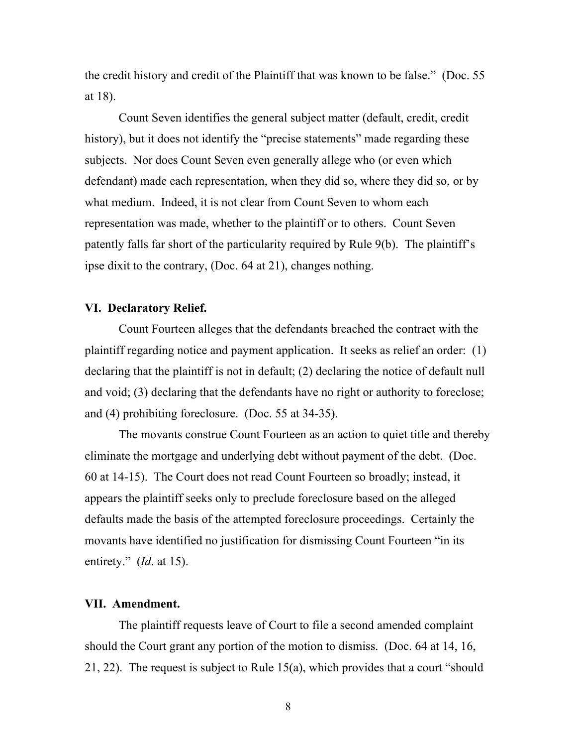the credit history and credit of the Plaintiff that was known to be false." (Doc. 55 at 18).

Count Seven identifies the general subject matter (default, credit, credit history), but it does not identify the "precise statements" made regarding these subjects. Nor does Count Seven even generally allege who (or even which defendant) made each representation, when they did so, where they did so, or by what medium. Indeed, it is not clear from Count Seven to whom each representation was made, whether to the plaintiff or to others. Count Seven patently falls far short of the particularity required by Rule 9(b). The plaintiff's ipse dixit to the contrary, (Doc. 64 at 21), changes nothing.

## **VI. Declaratory Relief.**

Count Fourteen alleges that the defendants breached the contract with the plaintiff regarding notice and payment application. It seeks as relief an order: (1) declaring that the plaintiff is not in default; (2) declaring the notice of default null and void; (3) declaring that the defendants have no right or authority to foreclose; and (4) prohibiting foreclosure. (Doc. 55 at 34-35).

The movants construe Count Fourteen as an action to quiet title and thereby eliminate the mortgage and underlying debt without payment of the debt. (Doc. 60 at 14-15). The Court does not read Count Fourteen so broadly; instead, it appears the plaintiff seeks only to preclude foreclosure based on the alleged defaults made the basis of the attempted foreclosure proceedings. Certainly the movants have identified no justification for dismissing Count Fourteen "in its entirety." (*Id*. at 15).

### **VII. Amendment.**

The plaintiff requests leave of Court to file a second amended complaint should the Court grant any portion of the motion to dismiss. (Doc. 64 at 14, 16, 21, 22). The request is subject to Rule 15(a), which provides that a court "should